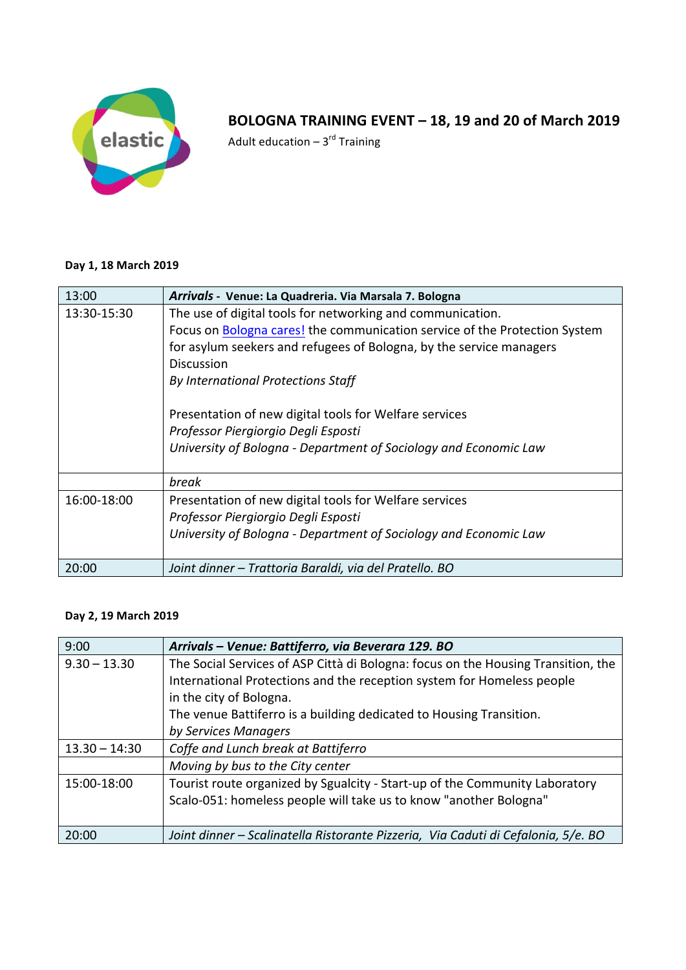

## BOLOGNA TRAINING EVENT - 18, 19 and 20 of March 2019

Adult education –  $3^{\text{rd}}$  Training

## **Day 1, 18 March 2019**

| 13:00       | Arrivals - Venue: La Quadreria. Via Marsala 7. Bologna                     |
|-------------|----------------------------------------------------------------------------|
| 13:30-15:30 | The use of digital tools for networking and communication.                 |
|             | Focus on Bologna cares! the communication service of the Protection System |
|             | for asylum seekers and refugees of Bologna, by the service managers        |
|             | <b>Discussion</b>                                                          |
|             | By International Protections Staff                                         |
|             | Presentation of new digital tools for Welfare services                     |
|             | Professor Piergiorgio Degli Esposti                                        |
|             | University of Bologna - Department of Sociology and Economic Law           |
|             | break                                                                      |
| 16:00-18:00 | Presentation of new digital tools for Welfare services                     |
|             | Professor Piergiorgio Degli Esposti                                        |
|             | University of Bologna - Department of Sociology and Economic Law           |
| 20:00       | Joint dinner - Trattoria Baraldi, via del Pratello. BO                     |

## **Day 2, 19 March 2019**

| 9:00            | Arrivals - Venue: Battiferro, via Beverara 129. BO                                |
|-----------------|-----------------------------------------------------------------------------------|
| $9.30 - 13.30$  | The Social Services of ASP Città di Bologna: focus on the Housing Transition, the |
|                 | International Protections and the reception system for Homeless people            |
|                 | in the city of Bologna.                                                           |
|                 | The venue Battiferro is a building dedicated to Housing Transition.               |
|                 | by Services Managers                                                              |
| $13.30 - 14:30$ | Coffe and Lunch break at Battiferro                                               |
|                 | Moving by bus to the City center                                                  |
| 15:00-18:00     | Tourist route organized by Sgualcity - Start-up of the Community Laboratory       |
|                 | Scalo-051: homeless people will take us to know "another Bologna"                 |
|                 |                                                                                   |
| 20:00           | Joint dinner – Scalinatella Ristorante Pizzeria, Via Caduti di Cefalonia, 5/e. BO |